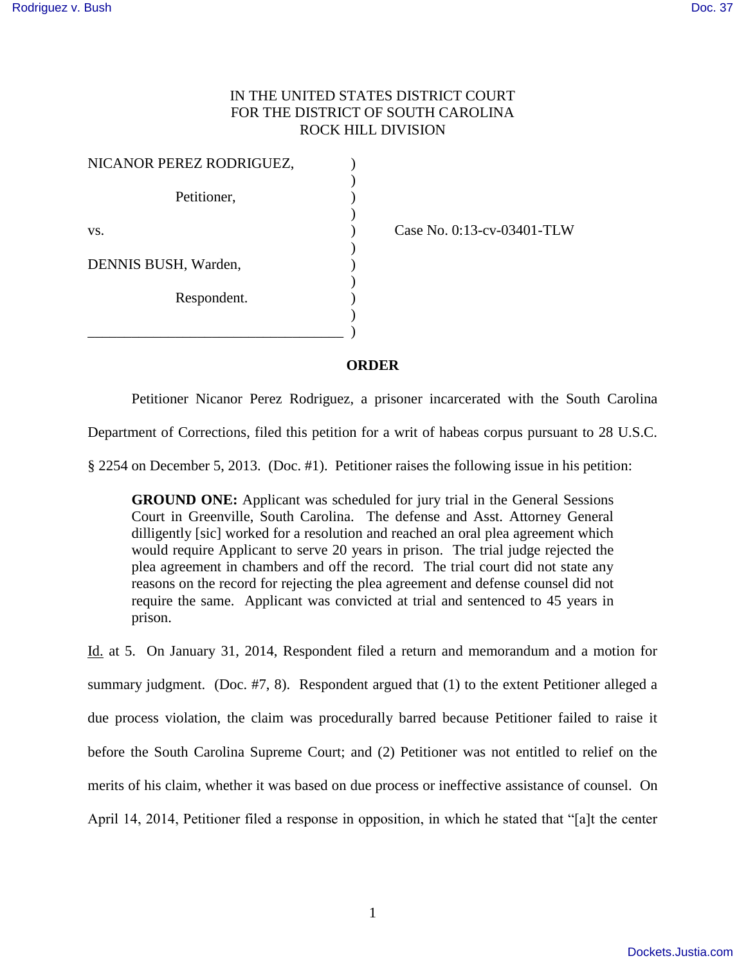## IN THE UNITED STATES DISTRICT COURT FOR THE DISTRICT OF SOUTH CAROLINA ROCK HILL DIVISION

| NICANOR PEREZ RODRIGUEZ, |  |
|--------------------------|--|
| Petitioner,              |  |
| VS.                      |  |
| DENNIS BUSH, Warden,     |  |
| Respondent.              |  |
|                          |  |
|                          |  |

Case No. 0:13-cv-03401-TLW

**ORDER**

Petitioner Nicanor Perez Rodriguez, a prisoner incarcerated with the South Carolina

Department of Corrections, filed this petition for a writ of habeas corpus pursuant to 28 U.S.C.

§ 2254 on December 5, 2013. (Doc. #1). Petitioner raises the following issue in his petition:

**GROUND ONE:** Applicant was scheduled for jury trial in the General Sessions Court in Greenville, South Carolina. The defense and Asst. Attorney General dilligently [sic] worked for a resolution and reached an oral plea agreement which would require Applicant to serve 20 years in prison. The trial judge rejected the plea agreement in chambers and off the record. The trial court did not state any reasons on the record for rejecting the plea agreement and defense counsel did not require the same. Applicant was convicted at trial and sentenced to 45 years in prison.

Id. at 5. On January 31, 2014, Respondent filed a return and memorandum and a motion for summary judgment. (Doc.  $#7, 8$ ). Respondent argued that (1) to the extent Petitioner alleged a due process violation, the claim was procedurally barred because Petitioner failed to raise it before the South Carolina Supreme Court; and (2) Petitioner was not entitled to relief on the merits of his claim, whether it was based on due process or ineffective assistance of counsel. On April 14, 2014, Petitioner filed a response in opposition, in which he stated that "[a]t the center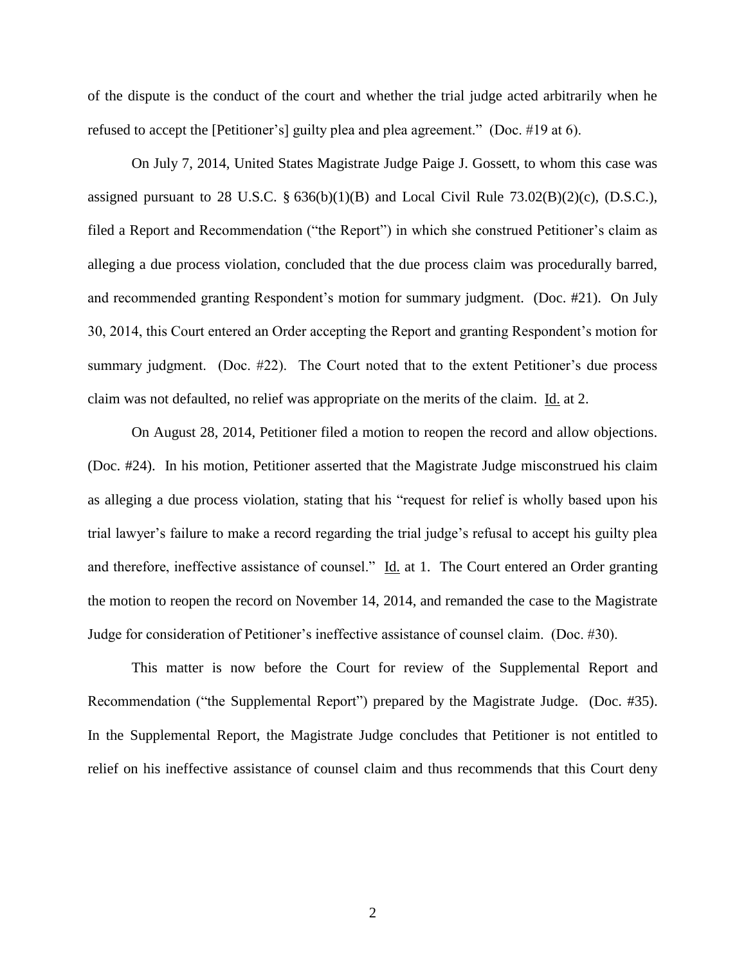of the dispute is the conduct of the court and whether the trial judge acted arbitrarily when he refused to accept the [Petitioner's] guilty plea and plea agreement." (Doc. #19 at 6).

 On July 7, 2014, United States Magistrate Judge Paige J. Gossett, to whom this case was assigned pursuant to 28 U.S.C. §  $636(b)(1)(B)$  and Local Civil Rule  $73.02(B)(2)(c)$ , (D.S.C.), filed a Report and Recommendation ("the Report") in which she construed Petitioner's claim as alleging a due process violation, concluded that the due process claim was procedurally barred, and recommended granting Respondent's motion for summary judgment. (Doc. #21). On July 30, 2014, this Court entered an Order accepting the Report and granting Respondent's motion for summary judgment. (Doc. #22). The Court noted that to the extent Petitioner's due process claim was not defaulted, no relief was appropriate on the merits of the claim. Id. at 2.

 On August 28, 2014, Petitioner filed a motion to reopen the record and allow objections. (Doc. #24). In his motion, Petitioner asserted that the Magistrate Judge misconstrued his claim as alleging a due process violation, stating that his "request for relief is wholly based upon his trial lawyer's failure to make a record regarding the trial judge's refusal to accept his guilty plea and therefore, ineffective assistance of counsel." Id. at 1. The Court entered an Order granting the motion to reopen the record on November 14, 2014, and remanded the case to the Magistrate Judge for consideration of Petitioner's ineffective assistance of counsel claim. (Doc. #30).

 This matter is now before the Court for review of the Supplemental Report and Recommendation ("the Supplemental Report") prepared by the Magistrate Judge. (Doc. #35). In the Supplemental Report, the Magistrate Judge concludes that Petitioner is not entitled to relief on his ineffective assistance of counsel claim and thus recommends that this Court deny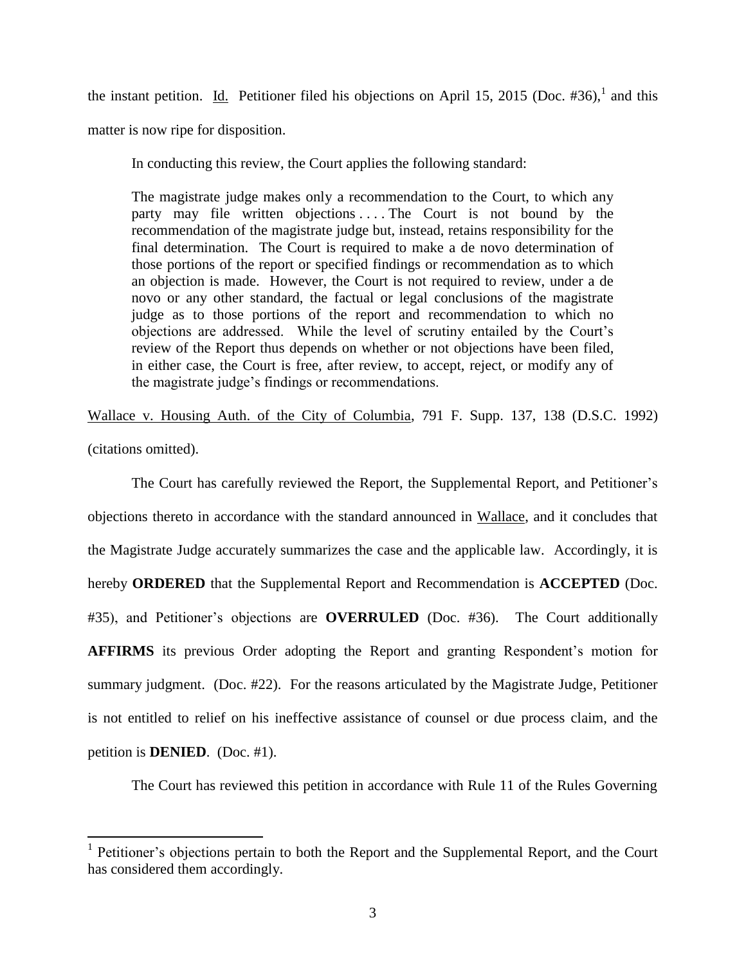the instant petition. Id. Petitioner filed his objections on April 15, 2015 (Doc. #36),<sup>1</sup> and this

matter is now ripe for disposition.

In conducting this review, the Court applies the following standard:

The magistrate judge makes only a recommendation to the Court, to which any party may file written objections ... The Court is not bound by the recommendation of the magistrate judge but, instead, retains responsibility for the final determination. The Court is required to make a de novo determination of those portions of the report or specified findings or recommendation as to which an objection is made. However, the Court is not required to review, under a de novo or any other standard, the factual or legal conclusions of the magistrate judge as to those portions of the report and recommendation to which no objections are addressed. While the level of scrutiny entailed by the Court's review of the Report thus depends on whether or not objections have been filed, in either case, the Court is free, after review, to accept, reject, or modify any of the magistrate judge's findings or recommendations.

Wallace v. Housing Auth. of the City of Columbia, 791 F. Supp. 137, 138 (D.S.C. 1992)

(citations omitted).

 $\overline{a}$ 

 The Court has carefully reviewed the Report, the Supplemental Report, and Petitioner's objections thereto in accordance with the standard announced in Wallace, and it concludes that the Magistrate Judge accurately summarizes the case and the applicable law. Accordingly, it is hereby **ORDERED** that the Supplemental Report and Recommendation is **ACCEPTED** (Doc. #35), and Petitioner's objections are **OVERRULED** (Doc. #36). The Court additionally **AFFIRMS** its previous Order adopting the Report and granting Respondent's motion for summary judgment. (Doc. #22). For the reasons articulated by the Magistrate Judge, Petitioner is not entitled to relief on his ineffective assistance of counsel or due process claim, and the petition is **DENIED**. (Doc. #1).

The Court has reviewed this petition in accordance with Rule 11 of the Rules Governing

<sup>&</sup>lt;sup>1</sup> Petitioner's objections pertain to both the Report and the Supplemental Report, and the Court has considered them accordingly.